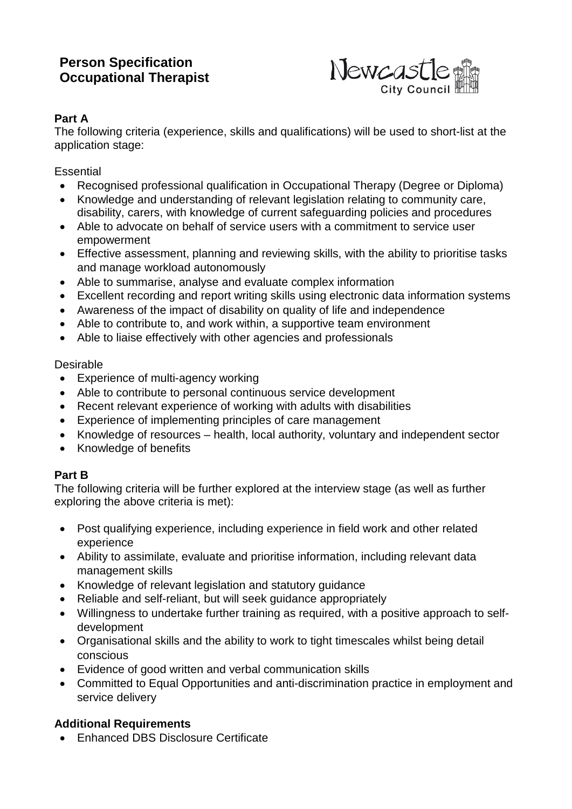# **Person Specification Occupational Therapist**



## **Part A**

The following criteria (experience, skills and qualifications) will be used to short-list at the application stage:

**Essential** 

- Recognised professional qualification in Occupational Therapy (Degree or Diploma)
- Knowledge and understanding of relevant legislation relating to community care, disability, carers, with knowledge of current safeguarding policies and procedures
- Able to advocate on behalf of service users with a commitment to service user empowerment
- Effective assessment, planning and reviewing skills, with the ability to prioritise tasks and manage workload autonomously
- Able to summarise, analyse and evaluate complex information
- Excellent recording and report writing skills using electronic data information systems
- Awareness of the impact of disability on quality of life and independence
- Able to contribute to, and work within, a supportive team environment
- Able to liaise effectively with other agencies and professionals

#### Desirable

- Experience of multi-agency working
- Able to contribute to personal continuous service development
- Recent relevant experience of working with adults with disabilities
- Experience of implementing principles of care management
- Knowledge of resources health, local authority, voluntary and independent sector
- Knowledge of benefits

## **Part B**

The following criteria will be further explored at the interview stage (as well as further exploring the above criteria is met):

- Post qualifying experience, including experience in field work and other related experience
- Ability to assimilate, evaluate and prioritise information, including relevant data management skills
- Knowledge of relevant legislation and statutory guidance
- Reliable and self-reliant, but will seek guidance appropriately
- Willingness to undertake further training as required, with a positive approach to selfdevelopment
- Organisational skills and the ability to work to tight timescales whilst being detail conscious
- Evidence of good written and verbal communication skills
- Committed to Equal Opportunities and anti-discrimination practice in employment and service delivery

## **Additional Requirements**

• Enhanced DBS Disclosure Certificate